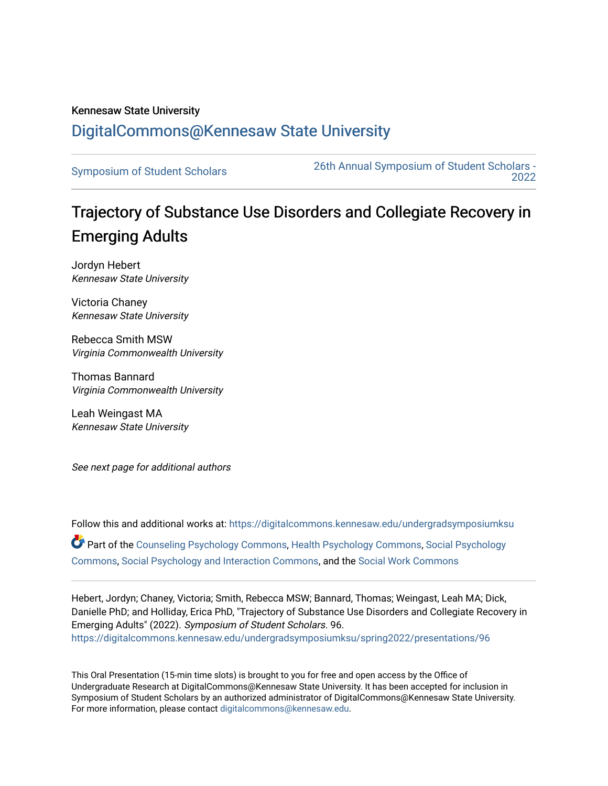## Kennesaw State University [DigitalCommons@Kennesaw State University](https://digitalcommons.kennesaw.edu/)

[Symposium of Student Scholars](https://digitalcommons.kennesaw.edu/undergradsymposiumksu) [26th Annual Symposium of Student Scholars -](https://digitalcommons.kennesaw.edu/undergradsymposiumksu/spring2022)  [2022](https://digitalcommons.kennesaw.edu/undergradsymposiumksu/spring2022) 

# Trajectory of Substance Use Disorders and Collegiate Recovery in Emerging Adults

Jordyn Hebert Kennesaw State University

Victoria Chaney Kennesaw State University

Rebecca Smith MSW Virginia Commonwealth University

Thomas Bannard Virginia Commonwealth University

Leah Weingast MA Kennesaw State University

See next page for additional authors

Follow this and additional works at: [https://digitalcommons.kennesaw.edu/undergradsymposiumksu](https://digitalcommons.kennesaw.edu/undergradsymposiumksu?utm_source=digitalcommons.kennesaw.edu%2Fundergradsymposiumksu%2Fspring2022%2Fpresentations%2F96&utm_medium=PDF&utm_campaign=PDFCoverPages)  Part of the [Counseling Psychology Commons](http://network.bepress.com/hgg/discipline/1044?utm_source=digitalcommons.kennesaw.edu%2Fundergradsymposiumksu%2Fspring2022%2Fpresentations%2F96&utm_medium=PDF&utm_campaign=PDFCoverPages), [Health Psychology Commons,](http://network.bepress.com/hgg/discipline/411?utm_source=digitalcommons.kennesaw.edu%2Fundergradsymposiumksu%2Fspring2022%2Fpresentations%2F96&utm_medium=PDF&utm_campaign=PDFCoverPages) [Social Psychology](http://network.bepress.com/hgg/discipline/414?utm_source=digitalcommons.kennesaw.edu%2Fundergradsymposiumksu%2Fspring2022%2Fpresentations%2F96&utm_medium=PDF&utm_campaign=PDFCoverPages)  [Commons](http://network.bepress.com/hgg/discipline/414?utm_source=digitalcommons.kennesaw.edu%2Fundergradsymposiumksu%2Fspring2022%2Fpresentations%2F96&utm_medium=PDF&utm_campaign=PDFCoverPages), [Social Psychology and Interaction Commons,](http://network.bepress.com/hgg/discipline/430?utm_source=digitalcommons.kennesaw.edu%2Fundergradsymposiumksu%2Fspring2022%2Fpresentations%2F96&utm_medium=PDF&utm_campaign=PDFCoverPages) and the [Social Work Commons](http://network.bepress.com/hgg/discipline/713?utm_source=digitalcommons.kennesaw.edu%2Fundergradsymposiumksu%2Fspring2022%2Fpresentations%2F96&utm_medium=PDF&utm_campaign=PDFCoverPages)

Hebert, Jordyn; Chaney, Victoria; Smith, Rebecca MSW; Bannard, Thomas; Weingast, Leah MA; Dick, Danielle PhD; and Holliday, Erica PhD, "Trajectory of Substance Use Disorders and Collegiate Recovery in Emerging Adults" (2022). Symposium of Student Scholars. 96. [https://digitalcommons.kennesaw.edu/undergradsymposiumksu/spring2022/presentations/96](https://digitalcommons.kennesaw.edu/undergradsymposiumksu/spring2022/presentations/96?utm_source=digitalcommons.kennesaw.edu%2Fundergradsymposiumksu%2Fspring2022%2Fpresentations%2F96&utm_medium=PDF&utm_campaign=PDFCoverPages) 

This Oral Presentation (15-min time slots) is brought to you for free and open access by the Office of Undergraduate Research at DigitalCommons@Kennesaw State University. It has been accepted for inclusion in Symposium of Student Scholars by an authorized administrator of DigitalCommons@Kennesaw State University. For more information, please contact [digitalcommons@kennesaw.edu.](mailto:digitalcommons@kennesaw.edu)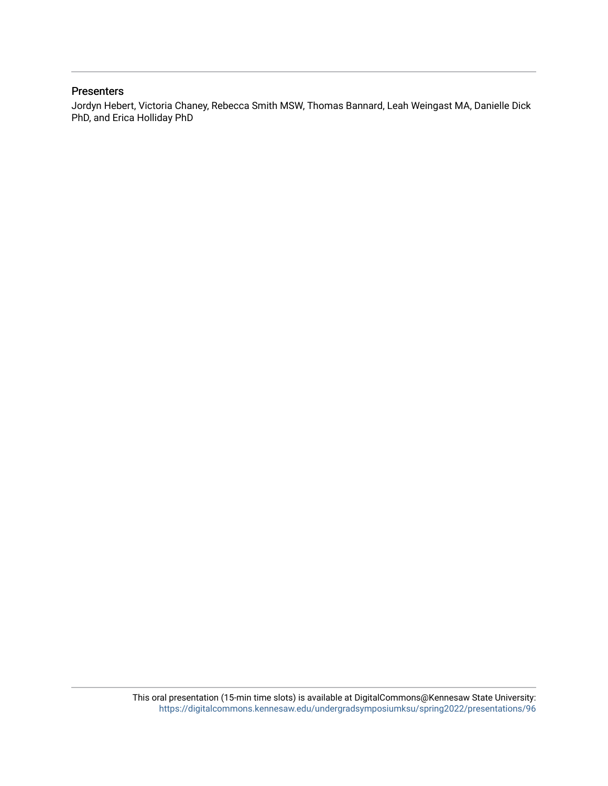#### **Presenters**

Jordyn Hebert, Victoria Chaney, Rebecca Smith MSW, Thomas Bannard, Leah Weingast MA, Danielle Dick PhD, and Erica Holliday PhD